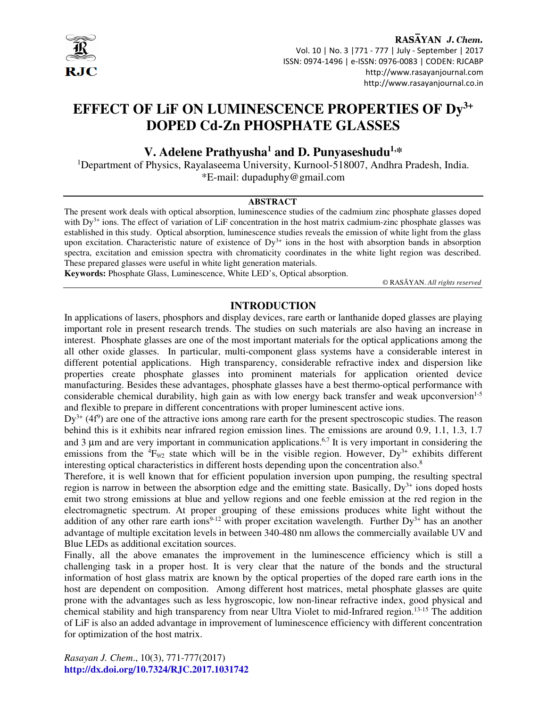

RASAYAN J. Chem. Vol. 10 | No. 3 |771 - 777 | July - September | 2017 ISSN: 0974-1496 | e-ISSN: 0976-0083 | CODEN: RJCABP http://www.rasayanjournal.com http://www.rasayanjournal.co.in

# **EFFECT OF LiF ON LUMINESCENCE PROPERTIES OF Dy3+ DOPED Cd-Zn PHOSPHATE GLASSES**

# **V. Adelene Prathyusha<sup>1</sup> and D. Punyaseshudu1,\***

<sup>1</sup>Department of Physics, Rayalaseema University, Kurnool-518007, Andhra Pradesh, India. \*E-mail: dupaduphy@gmail.com

#### **ABSTRACT**

The present work deals with optical absorption, luminescence studies of the cadmium zinc phosphate glasses doped with  $Dy^{3+}$  ions. The effect of variation of LiF concentration in the host matrix cadmium-zinc phosphate glasses was established in this study. Optical absorption, luminescence studies reveals the emission of white light from the glass upon excitation. Characteristic nature of existence of  $Dy^{3+}$  ions in the host with absorption bands in absorption spectra, excitation and emission spectra with chromaticity coordinates in the white light region was described. These prepared glasses were useful in white light generation materials.

**Keywords:** Phosphate Glass, Luminescence, White LED's, Optical absorption.

© RASĀYAN. *All rights reserved*

# **INTRODUCTION**

In applications of lasers, phosphors and display devices, rare earth or lanthanide doped glasses are playing important role in present research trends. The studies on such materials are also having an increase in interest. Phosphate glasses are one of the most important materials for the optical applications among the all other oxide glasses. In particular, multi-component glass systems have a considerable interest in different potential applications. High transparency, considerable refractive index and dispersion like properties create phosphate glasses into prominent materials for application oriented device manufacturing. Besides these advantages, phosphate glasses have a best thermo-optical performance with considerable chemical durability, high gain as with low energy back transfer and weak upconversion $1.5$ and flexible to prepare in different concentrations with proper luminescent active ions.

 $Dy^{3+}$  (4f<sup>9</sup>) are one of the attractive ions among rare earth for the present spectroscopic studies. The reason behind this is it exhibits near infrared region emission lines. The emissions are around 0.9, 1.1, 1.3, 1.7 and 3  $\mu$ m and are very important in communication applications.<sup>6,7</sup> It is very important in considering the emissions from the  ${}^{4}F_{9/2}$  state which will be in the visible region. However, Dy<sup>3+</sup> exhibits different interesting optical characteristics in different hosts depending upon the concentration also.<sup>8</sup>

Therefore, it is well known that for efficient population inversion upon pumping, the resulting spectral region is narrow in between the absorption edge and the emitting state. Basically,  $Dv^{3+}$  ions doped hosts emit two strong emissions at blue and yellow regions and one feeble emission at the red region in the electromagnetic spectrum. At proper grouping of these emissions produces white light without the addition of any other rare earth ions<sup>9-12</sup> with proper excitation wavelength. Further  $Dy^{3+}$  has an another advantage of multiple excitation levels in between 340-480 nm allows the commercially available UV and Blue LEDs as additional excitation sources.

Finally, all the above emanates the improvement in the luminescence efficiency which is still a challenging task in a proper host. It is very clear that the nature of the bonds and the structural information of host glass matrix are known by the optical properties of the doped rare earth ions in the host are dependent on composition. Among different host matrices, metal phosphate glasses are quite prone with the advantages such as less hygroscopic, low non-linear refractive index, good physical and chemical stability and high transparency from near Ultra Violet to mid-Infrared region.13-15 The addition of LiF is also an added advantage in improvement of luminescence efficiency with different concentration for optimization of the host matrix.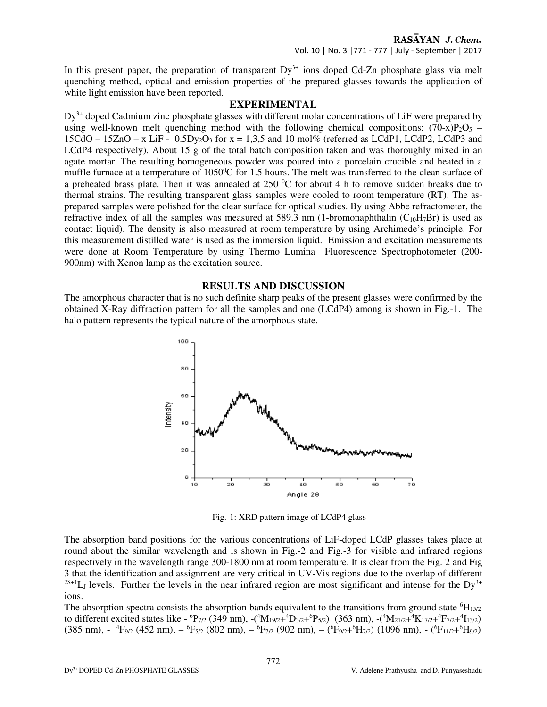In this present paper, the preparation of transparent  $Dy^{3+}$  ions doped Cd-Zn phosphate glass via melt quenching method, optical and emission properties of the prepared glasses towards the application of white light emission have been reported.

#### **EXPERIMENTAL**

 $Dy^{3+}$  doped Cadmium zinc phosphate glasses with different molar concentrations of LiF were prepared by using well-known melt quenching method with the following chemical compositions:  $(70-x)P_2O_5$  –  $15CdO - 15ZnO - x$  LiF - 0.5Dy<sub>2</sub>O<sub>3</sub> for  $x = 1.3.5$  and 10 mol% (referred as LCdP1, LCdP2, LCdP3 and LCdP4 respectively). About 15 g of the total batch composition taken and was thoroughly mixed in an agate mortar. The resulting homogeneous powder was poured into a porcelain crucible and heated in a muffle furnace at a temperature of 1050<sup>o</sup>C for 1.5 hours. The melt was transferred to the clean surface of a preheated brass plate. Then it was annealed at  $250\,^{\circ}\text{C}$  for about 4 h to remove sudden breaks due to thermal strains. The resulting transparent glass samples were cooled to room temperature (RT). The asprepared samples were polished for the clear surface for optical studies. By using Abbe refractometer, the refractive index of all the samples was measured at 589.3 nm (1-bromonaphthalin  $(C_{10}H_7Br)$ ) is used as contact liquid). The density is also measured at room temperature by using Archimede's principle. For this measurement distilled water is used as the immersion liquid. Emission and excitation measurements were done at Room Temperature by using Thermo Lumina Fluorescence Spectrophotometer (200- 900nm) with Xenon lamp as the excitation source.

# **RESULTS AND DISCUSSION**

The amorphous character that is no such definite sharp peaks of the present glasses were confirmed by the obtained X-Ray diffraction pattern for all the samples and one (LCdP4) among is shown in Fig.-1. The halo pattern represents the typical nature of the amorphous state.



Fig.-1: XRD pattern image of LCdP4 glass

The absorption band positions for the various concentrations of LiF-doped LCdP glasses takes place at round about the similar wavelength and is shown in Fig.-2 and Fig.-3 for visible and infrared regions respectively in the wavelength range 300-1800 nm at room temperature. It is clear from the Fig. 2 and Fig 3 that the identification and assignment are very critical in UV-Vis regions due to the overlap of different  $^{2S+1}L_J$  levels. Further the levels in the near infrared region are most significant and intense for the Dy<sup>3+</sup> ions.

The absorption spectra consists the absorption bands equivalent to the transitions from ground state  ${}^{6}H_{15/2}$ to different excited states like -  ${}^{6}P_{7/2}$  (349 nm), -( ${}^{4}M_{19/2}$ + ${}^{4}D_{3/2}$ + ${}^{6}P_{5/2}$ ) (363 nm), -( ${}^{4}M_{21/2}$ + ${}^{4}K_{17/2}$ + ${}^{4}F_{7/2}$ + ${}^{4}I_{13/2}$ )  $(385 \text{ nm})$ , -  $\mathrm{^{4}F_{9/2}}$  (452 nm),  $- \mathrm{^{6}F_{5/2}}$  (802 nm),  $- \mathrm{^{6}F_{7/2}}$  (902 nm),  $- \mathrm{^{6}F_{9/2}+^{6}H_{7/2}}$ ) (1096 nm), -  $\mathrm{^{6}F_{11/2}+^{6}H_{9/2}}$ )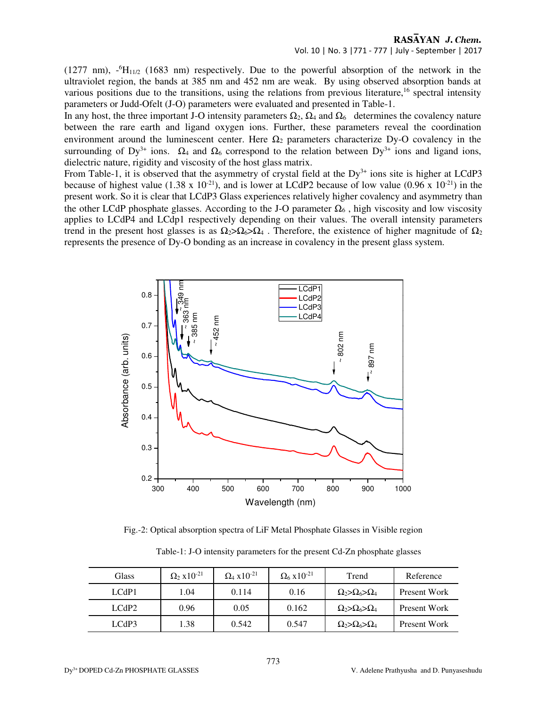RASAYAN J. Chem. Vol. 10 | No. 3 |771 - 777 | July - September | 2017

(1277 nm),  $\text{-}^{6}H_{11/2}$  (1683 nm) respectively. Due to the powerful absorption of the network in the ultraviolet region, the bands at 385 nm and 452 nm are weak. By using observed absorption bands at various positions due to the transitions, using the relations from previous literature,<sup>16</sup> spectral intensity parameters or Judd-Ofelt (J-O) parameters were evaluated and presented in Table-1.

In any host, the three important J-O intensity parameters  $\Omega_2$ ,  $\Omega_4$  and  $\Omega_6$  determines the covalency nature between the rare earth and ligand oxygen ions. Further, these parameters reveal the coordination environment around the luminescent center. Here  $\Omega_2$  parameters characterize Dy-O covalency in the surrounding of Dy<sup>3+</sup> ions.  $\Omega_4$  and  $\Omega_6$  correspond to the relation between Dy<sup>3+</sup> ions and ligand ions, dielectric nature, rigidity and viscosity of the host glass matrix.

From Table-1, it is observed that the asymmetry of crystal field at the  $Dy^{3+}$  ions site is higher at LCdP3 because of highest value (1.38 x 10<sup>-21</sup>), and is lower at LCdP2 because of low value (0.96 x 10<sup>-21</sup>) in the present work. So it is clear that LCdP3 Glass experiences relatively higher covalency and asymmetry than the other LCdP phosphate glasses. According to the J-O parameter  $\Omega_6$ , high viscosity and low viscosity applies to LCdP4 and LCdp1 respectively depending on their values. The overall intensity parameters trend in the present host glasses is as  $\Omega_2 > \Omega_6 > \Omega_4$ . Therefore, the existence of higher magnitude of  $\Omega_2$ represents the presence of Dy-O bonding as an increase in covalency in the present glass system.



Fig.-2: Optical absorption spectra of LiF Metal Phosphate Glasses in Visible region

| Table-1: J-O intensity parameters for the present Cd-Zn phosphate glasses |  |  |
|---------------------------------------------------------------------------|--|--|
|                                                                           |  |  |

| Glass             | $\Omega_2$ x 10 <sup>-21</sup> | $\Omega_4$ x 10 <sup>-21</sup> | $\Omega_6$ x 10 <sup>-21</sup> | Trend                            | Reference    |
|-------------------|--------------------------------|--------------------------------|--------------------------------|----------------------------------|--------------|
| LCdP1             | 1.04                           | 0.114                          | 0.16                           | $\Omega_2 > \Omega_6 > \Omega_4$ | Present Work |
| LCdP <sub>2</sub> | 0.96                           | 0.05                           | 0.162                          | $\Omega_2 > \Omega_6 > \Omega_4$ | Present Work |
| LCdP3             | .38                            | 0.542                          | 0.547                          | $\Omega_2 > \Omega_6 > \Omega_4$ | Present Work |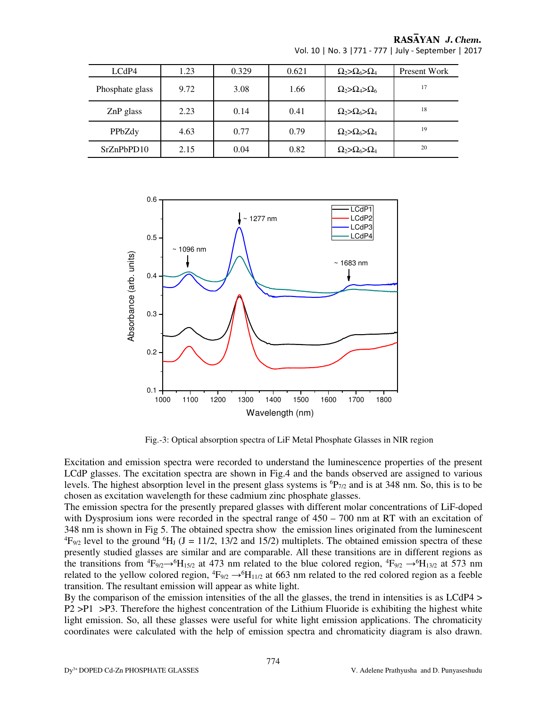|  | RASAYAN J. Chem. |  |  |
|--|------------------|--|--|
|--|------------------|--|--|

| LCdP4           | 1.23 | 0.329 | 0.621 | $\Omega_2 > \Omega_6 > \Omega_4$ | Present Work |
|-----------------|------|-------|-------|----------------------------------|--------------|
| Phosphate glass | 9.72 | 3.08  | 1.66  | $\Omega_2 > \Omega_4 > \Omega_6$ | 17           |
| $ZnP$ glass     | 2.23 | 0.14  | 0.41  | $\Omega_2 > \Omega_6 > \Omega_4$ | 18           |
| PPbZdy          | 4.63 | 0.77  | 0.79  | $\Omega_2 > \Omega_6 > \Omega_4$ | 19           |
| SrZnPbPD10      | 2.15 | 0.04  | 0.82  | $\Omega_2 > \Omega_6 > \Omega_4$ | 20           |

Vol. 10 | No. 3 |771 - 777 | July - September | 2017



Fig.-3: Optical absorption spectra of LiF Metal Phosphate Glasses in NIR region

Excitation and emission spectra were recorded to understand the luminescence properties of the present LCdP glasses. The excitation spectra are shown in Fig.4 and the bands observed are assigned to various levels. The highest absorption level in the present glass systems is  ${}^6P_{7/2}$  and is at 348 nm. So, this is to be chosen as excitation wavelength for these cadmium zinc phosphate glasses.

The emission spectra for the presently prepared glasses with different molar concentrations of LiF-doped with Dysprosium ions were recorded in the spectral range of  $450 - 700$  nm at RT with an excitation of 348 nm is shown in Fig 5. The obtained spectra show the emission lines originated from the luminescent <sup>4</sup>F<sub>9/2</sub> level to the ground <sup>6</sup>H<sub>J</sub> (J = 11/2, 13/2 and 15/2) multiplets. The obtained emission spectra of these presently studied glasses are similar and are comparable. All these transitions are in different regions as the transitions from  ${}^4\text{F}_{9/2} \rightarrow {}^6\text{H}_{15/2}$  at 473 nm related to the blue colored region,  ${}^4\text{F}_{9/2} \rightarrow {}^6\text{H}_{13/2}$  at 573 nm related to the yellow colored region,  ${}^4F_{9/2} \rightarrow {}^6H_{11/2}$  at 663 nm related to the red colored region as a feeble transition. The resultant emission will appear as white light.

By the comparison of the emission intensities of the all the glasses, the trend in intensities is as LCdP4 > P2 >P1 >P3. Therefore the highest concentration of the Lithium Fluoride is exhibiting the highest white light emission. So, all these glasses were useful for white light emission applications. The chromaticity coordinates were calculated with the help of emission spectra and chromaticity diagram is also drawn.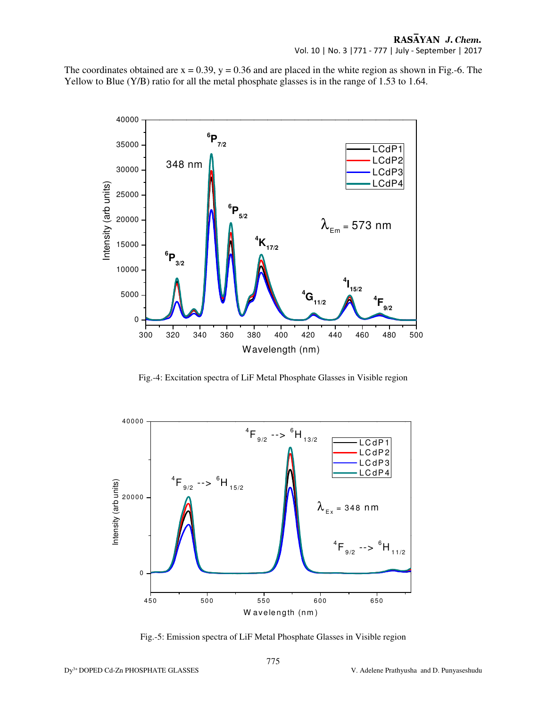The coordinates obtained are  $x = 0.39$ ,  $y = 0.36$  and are placed in the white region as shown in Fig.-6. The Yellow to Blue (Y/B) ratio for all the metal phosphate glasses is in the range of 1.53 to 1.64.



Fig.-4: Excitation spectra of LiF Metal Phosphate Glasses in Visible region



Fig.-5: Emission spectra of LiF Metal Phosphate Glasses in Visible region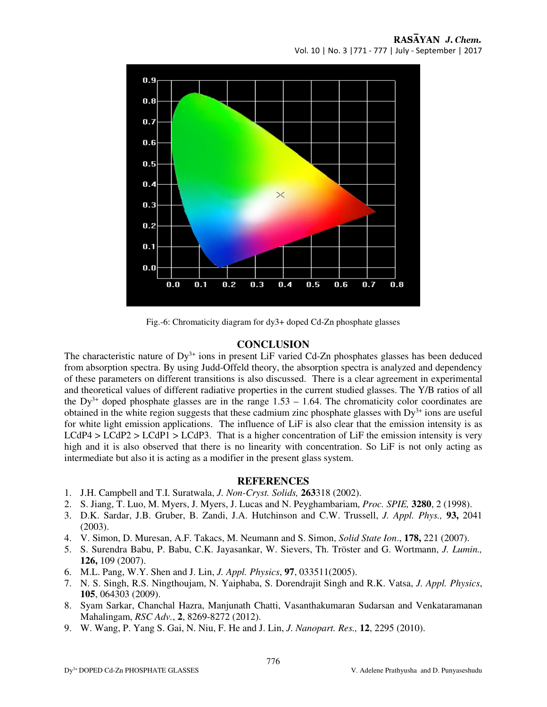

Fig.-6: Chromaticity diagram for dy3+ doped Cd-Zn phosphate glasses

# **CONCLUSION**

The characteristic nature of  $Dy^{3+}$  ions in present LiF varied Cd-Zn phosphates glasses has been deduced from absorption spectra. By using Judd-Offeld theory, the absorption spectra is analyzed and dependency of these parameters on different transitions is also discussed. There is a clear agreement in experimental and theoretical values of different radiative properties in the current studied glasses. The Y/B ratios of all the  $Dy^{3+}$  doped phosphate glasses are in the range 1.53 – 1.64. The chromaticity color coordinates are obtained in the white region suggests that these cadmium zinc phosphate glasses with  $Dy^{3+}$  ions are useful for white light emission applications. The influence of LiF is also clear that the emission intensity is as  $LCdP4 > LCdP2 > LCdP1 > LCdP3$ . That is a higher concentration of LiF the emission intensity is very high and it is also observed that there is no linearity with concentration. So LiF is not only acting as intermediate but also it is acting as a modifier in the present glass system.

## **REFERENCES**

- 1. J.H. Campbell and T.I. Suratwala, *J. Non-Cryst. Solids,* **263**318 (2002).
- 2. S. Jiang, T. Luo, M. Myers, J. Myers, J. Lucas and N. Peyghambariam, *Proc. SPIE,* **3280**, 2 (1998).
- 3. D.K. Sardar, J.B. Gruber, B. Zandi, J.A. Hutchinson and C.W. Trussell, *J. Appl. Phys.,* **93,** 2041 (2003).
- 4. V. Simon, D. Muresan, A.F. Takacs, M. Neumann and S. Simon, *Solid State Ion*., **178,** 221 (2007).
- 5. S. Surendra Babu, P. Babu, C.K. Jayasankar, W. Sievers, Th. Tröster and G. Wortmann, *J. Lumin.,* **126,** 109 (2007).
- 6. M.L. Pang, W.Y. Shen and J. Lin, *J. Appl. Physics*, **97**, 033511(2005).
- 7. N. S. Singh, R.S. Ningthoujam, N. Yaiphaba, S. Dorendrajit Singh and R.K. Vatsa, *J. Appl. Physics*, **105**, 064303 (2009).
- 8. Syam Sarkar, Chanchal Hazra, Manjunath Chatti, Vasanthakumaran Sudarsan and Venkataramanan Mahalingam, *RSC Adv.*, **2**, 8269-8272 (2012).
- 9. W. Wang, P. Yang S. Gai, N. Niu, F. He and J. Lin, *J. Nanopart. Res.,* **12**, 2295 (2010).